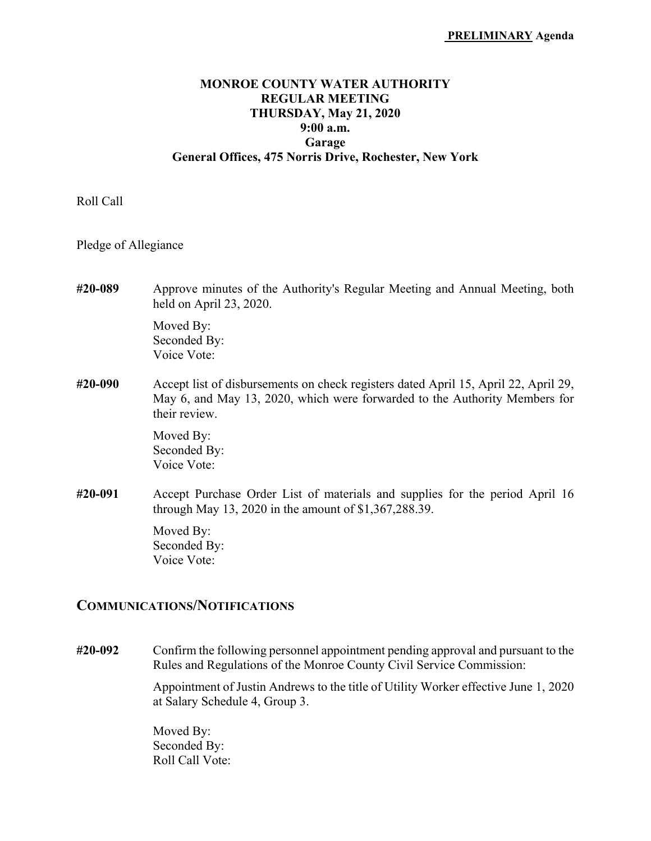## **MONROE COUNTY WATER AUTHORITY REGULAR MEETING THURSDAY, May 21, 2020 9:00 a.m. Garage General Offices, 475 Norris Drive, Rochester, New York**

## Roll Call

Pledge of Allegiance

**#20-089** Approve minutes of the Authority's Regular Meeting and Annual Meeting, both held on April 23, 2020.

 Moved By: Seconded By: Voice Vote:

**#20-090** Accept list of disbursements on check registers dated April 15, April 22, April 29, May 6, and May 13, 2020, which were forwarded to the Authority Members for their review.

> Moved By: Seconded By: Voice Vote:

**#20-091** Accept Purchase Order List of materials and supplies for the period April 16 through May 13, 2020 in the amount of \$1,367,288.39.

> Moved By: Seconded By: Voice Vote:

## **COMMUNICATIONS/NOTIFICATIONS**

**#20-092** Confirm the following personnel appointment pending approval and pursuant to the Rules and Regulations of the Monroe County Civil Service Commission:

> Appointment of Justin Andrews to the title of Utility Worker effective June 1, 2020 at Salary Schedule 4, Group 3.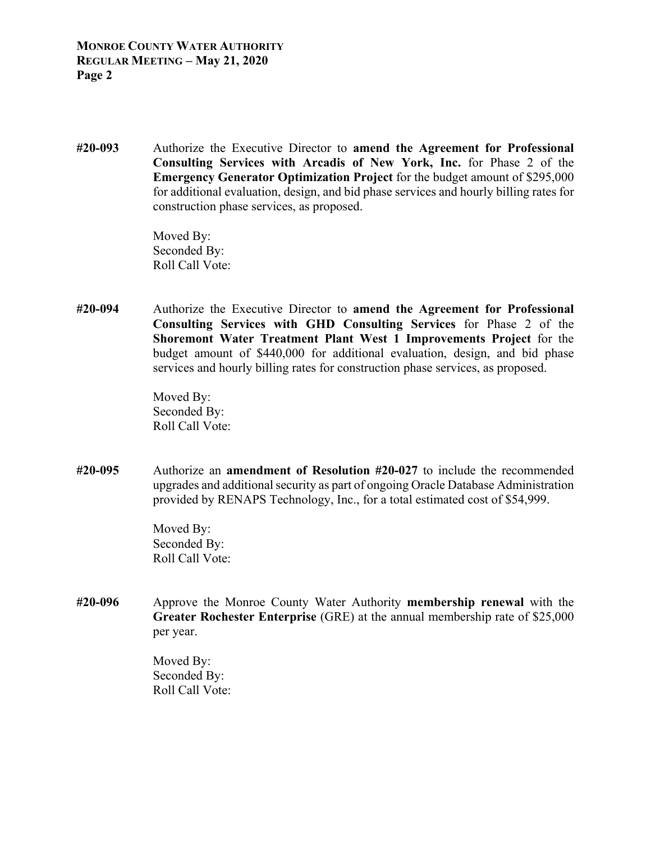**#20-093** Authorize the Executive Director to **amend the Agreement for Professional Consulting Services with Arcadis of New York, Inc.** for Phase 2 of the **Emergency Generator Optimization Project** for the budget amount of \$295,000 for additional evaluation, design, and bid phase services and hourly billing rates for construction phase services, as proposed.

> Moved By: Seconded By: Roll Call Vote:

**#20-094** Authorize the Executive Director to **amend the Agreement for Professional Consulting Services with GHD Consulting Services** for Phase 2 of the **Shoremont Water Treatment Plant West 1 Improvements Project** for the budget amount of \$440,000 for additional evaluation, design, and bid phase services and hourly billing rates for construction phase services, as proposed.

> Moved By: Seconded By: Roll Call Vote:

**#20-095** Authorize an **amendment of Resolution #20-027** to include the recommended upgrades and additional security as part of ongoing Oracle Database Administration provided by RENAPS Technology, Inc., for a total estimated cost of \$54,999.

> Moved By: Seconded By: Roll Call Vote:

**#20-096** Approve the Monroe County Water Authority **membership renewal** with the **Greater Rochester Enterprise** (GRE) at the annual membership rate of \$25,000 per year.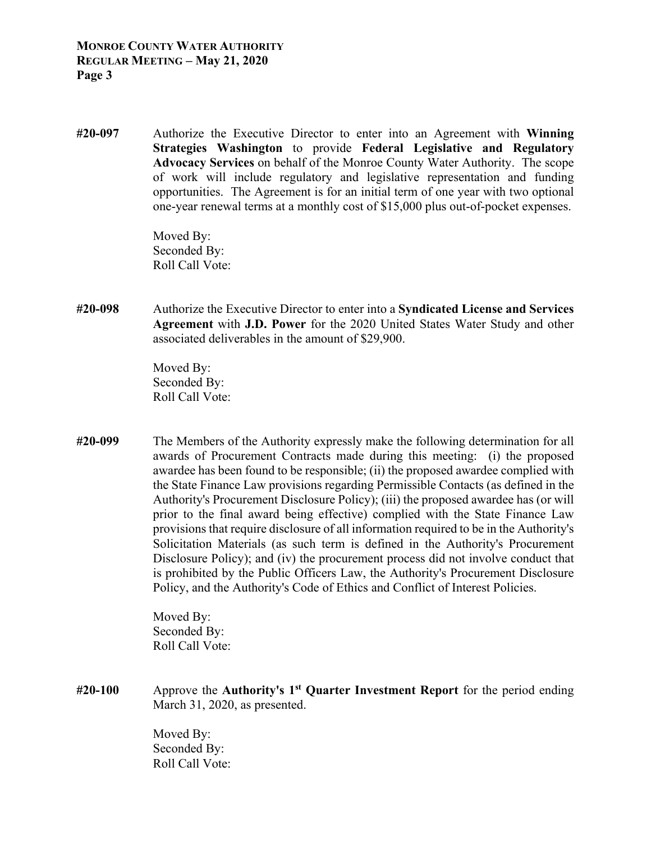**#20-097** Authorize the Executive Director to enter into an Agreement with **Winning Strategies Washington** to provide **Federal Legislative and Regulatory Advocacy Services** on behalf of the Monroe County Water Authority. The scope of work will include regulatory and legislative representation and funding opportunities. The Agreement is for an initial term of one year with two optional one-year renewal terms at a monthly cost of \$15,000 plus out-of-pocket expenses.

> Moved By: Seconded By: Roll Call Vote:

**#20-098** Authorize the Executive Director to enter into a **Syndicated License and Services Agreement** with **J.D. Power** for the 2020 United States Water Study and other associated deliverables in the amount of \$29,900.

> Moved By: Seconded By: Roll Call Vote:

**#20-099** The Members of the Authority expressly make the following determination for all awards of Procurement Contracts made during this meeting: (i) the proposed awardee has been found to be responsible; (ii) the proposed awardee complied with the State Finance Law provisions regarding Permissible Contacts (as defined in the Authority's Procurement Disclosure Policy); (iii) the proposed awardee has (or will prior to the final award being effective) complied with the State Finance Law provisions that require disclosure of all information required to be in the Authority's Solicitation Materials (as such term is defined in the Authority's Procurement Disclosure Policy); and (iv) the procurement process did not involve conduct that is prohibited by the Public Officers Law, the Authority's Procurement Disclosure Policy, and the Authority's Code of Ethics and Conflict of Interest Policies.

> Moved By: Seconded By: Roll Call Vote:

**#20-100** Approve the **Authority's 1st Quarter Investment Report** for the period ending March 31, 2020, as presented.